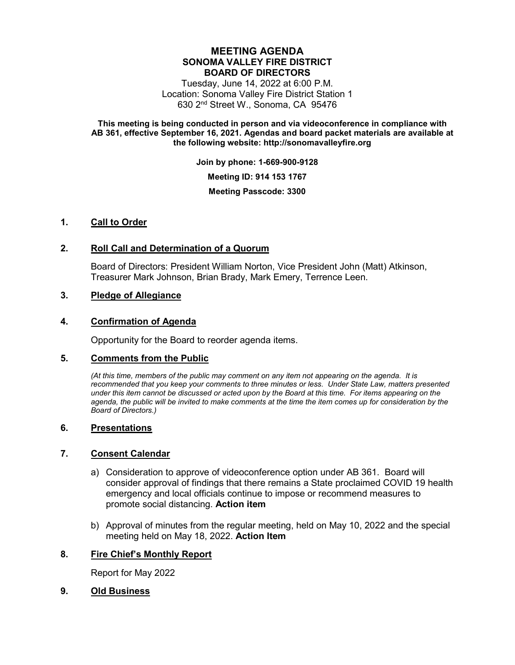# **MEETING AGENDA SONOMA VALLEY FIRE DISTRICT BOARD OF DIRECTORS**

Tuesday, June 14, 2022 at 6:00 P.M. Location: Sonoma Valley Fire District Station 1 630 2nd Street W., Sonoma, CA 95476

**This meeting is being conducted in person and via videoconference in compliance with AB 361, effective September 16, 2021. Agendas and board packet materials are available at the following website: http://sonomavalleyfire.org**

**Join by phone: 1-669-900-9128**

**Meeting ID: 914 153 1767**

**Meeting Passcode: 3300**

## **1. Call to Order**

## **2. Roll Call and Determination of a Quorum**

Board of Directors: President William Norton, Vice President John (Matt) Atkinson, Treasurer Mark Johnson, Brian Brady, Mark Emery, Terrence Leen.

## **3. Pledge of Allegiance**

## **4. Confirmation of Agenda**

Opportunity for the Board to reorder agenda items.

#### **5. Comments from the Public**

*(At this time, members of the public may comment on any item not appearing on the agenda. It is recommended that you keep your comments to three minutes or less. Under State Law, matters presented under this item cannot be discussed or acted upon by the Board at this time. For items appearing on the agenda, the public will be invited to make comments at the time the item comes up for consideration by the Board of Directors.)*

#### **6. Presentations**

#### **7. Consent Calendar**

- a) Consideration to approve of videoconference option under AB 361. Board will consider approval of findings that there remains a State proclaimed COVID 19 health emergency and local officials continue to impose or recommend measures to promote social distancing. **Action item**
- b) Approval of minutes from the regular meeting, held on May 10, 2022 and the special meeting held on May 18, 2022. **Action Item**

## **8. Fire Chief's Monthly Report**

Report for May 2022

### **9. Old Business**